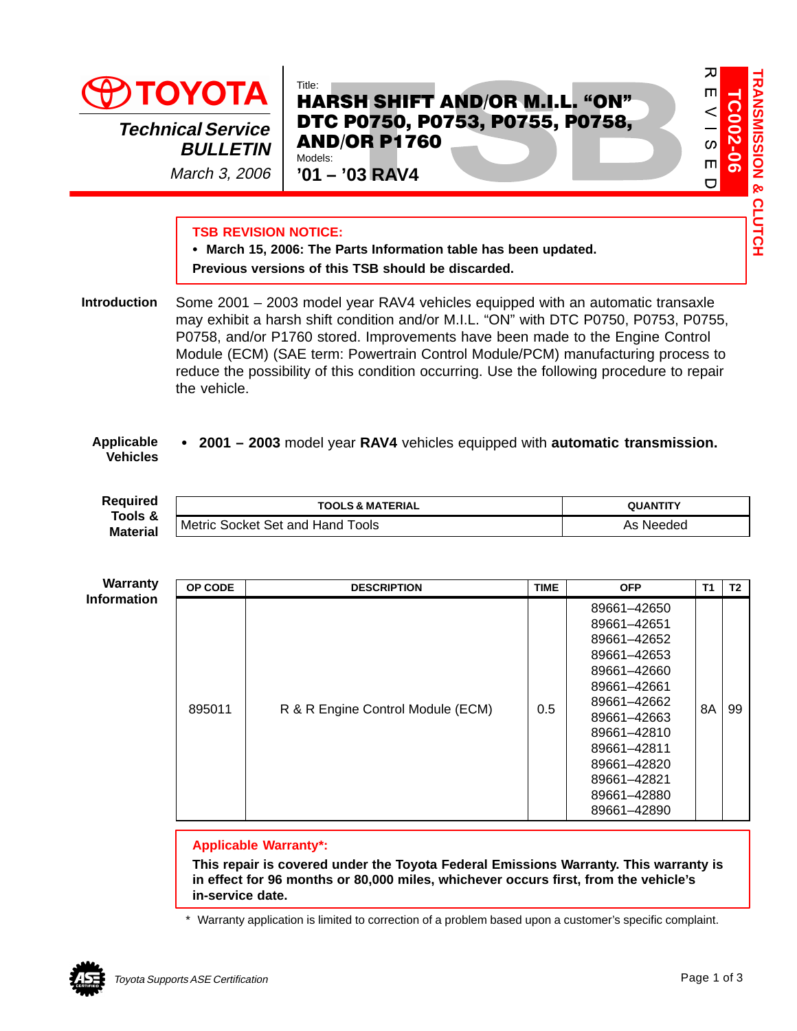

March 3, 2006

# HARSH SHIFT AND/OR M.I.L. "ON" DTC P0750, P0753, P0755, P0758, AND/OR P1760 Models:

**'01 – '03 RAV4**

# **TSB REVISION NOTICE:**

 **March 15, 2006: The Parts Information table has been updated. Previous versions of this TSB should be discarded.**

Some 2001 – 2003 model year RAV4 vehicles equipped with an automatic transaxle may exhibit a harsh shift condition and/or M.I.L. "ON" with DTC P0750, P0753, P0755, P0758, and/or P1760 stored. Improvements have been made to the Engine Control Module (ECM) (SAE term: Powertrain Control Module/PCM) manufacturing process to reduce the possibility of this condition occurring. Use the following procedure to repair the vehicle. **Introduction**

#### **2001 – 2003** model year **RAV4** vehicles equipped with **automatic transmission. Applicable Vehicles**

**Required Tools & Material**

| ed<br>&<br>ial | <b>TOOLS &amp; MATERIAL</b>           | <b>I A NT</b> |  |  |
|----------------|---------------------------------------|---------------|--|--|
|                | ools<br>Socket Set and Hand<br>Metric | Needed<br>As  |  |  |

| <b>Warranty</b>    | OP CODE | <b>DESCRIPTION</b>                | <b>TIME</b> | <b>OFP</b>                                                                                                                                                                                                     | <b>T1</b> | T <sub>2</sub> |
|--------------------|---------|-----------------------------------|-------------|----------------------------------------------------------------------------------------------------------------------------------------------------------------------------------------------------------------|-----------|----------------|
| <b>Information</b> | 895011  | R & R Engine Control Module (ECM) | 0.5         | 89661-42650<br>89661-42651<br>89661-42652<br>89661-42653<br>89661-42660<br>89661-42661<br>89661-42662<br>89661-42663<br>89661-42810<br>89661-42811<br>89661-42820<br>89661-42821<br>89661-42880<br>89661-42890 | 8A        | 99             |

# **Applicable Warranty\*:**

**This repair is covered under the Toyota Federal Emissions Warranty. This warranty is in effect for 96 months or 80,000 miles, whichever occurs first, from the vehicle's in-service date.**

\* Warranty application is limited to correction of a problem based upon a customer's specific complaint.



**TC002-06**

**TC002**.  $\leq$  $\frac{1}{3}$  $\blacksquare$  $\overline{C}$ 

 $\overline{v}$ 

 $\blacksquare$ 

**TRANSMISSION & CLUTCH**

**RANSMISSION & CLUTCH**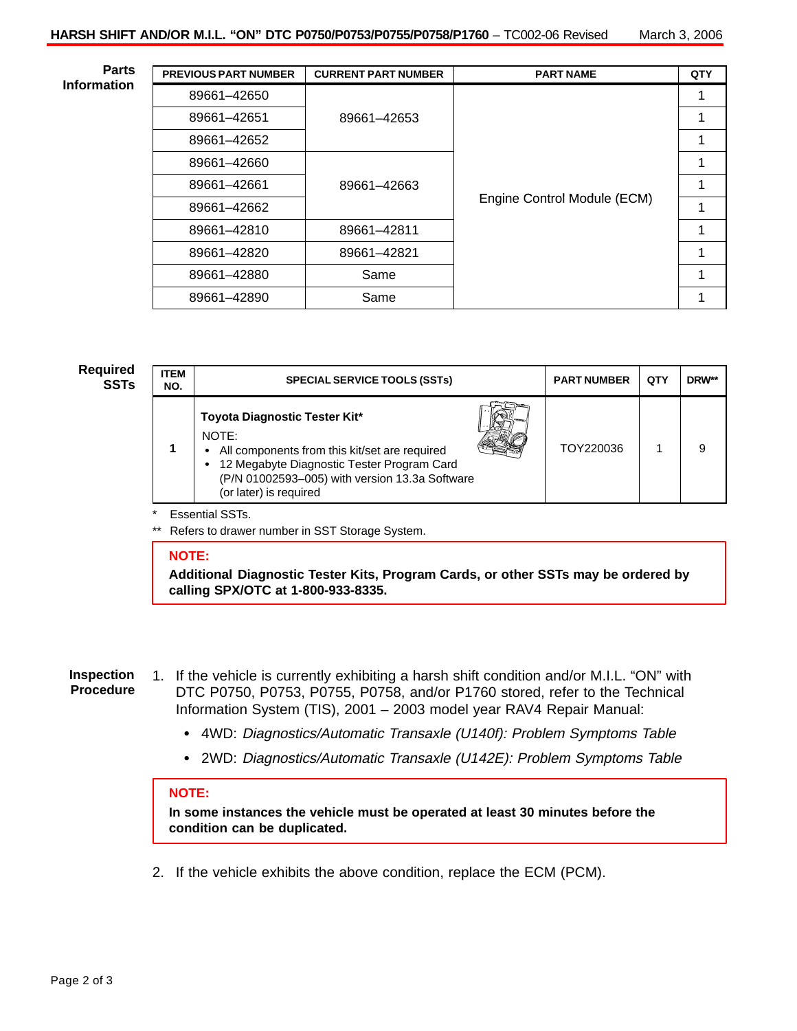**Parts Information**

| <b>PREVIOUS PART NUMBER</b> | <b>CURRENT PART NUMBER</b> | <b>PART NAME</b>            | QTY |
|-----------------------------|----------------------------|-----------------------------|-----|
| 89661-42650                 |                            |                             |     |
| 89661-42651                 | 89661-42653                |                             |     |
| 89661-42652                 |                            |                             |     |
| 89661-42660                 |                            |                             |     |
| 89661-42661                 | 89661-42663                |                             | 1   |
| 89661-42662                 |                            | Engine Control Module (ECM) |     |
| 89661-42810                 | 89661-42811                |                             |     |
| 89661-42820                 | 89661-42821                |                             |     |
| 89661-42880                 | Same                       |                             |     |
| 89661-42890                 | Same                       |                             |     |

# **Required**

| <b>ITEM</b><br>NO. | <b>SPECIAL SERVICE TOOLS (SSTs)</b>                                                                                                                                                                                   |  | <b>PART NUMBER</b> | QTY | DRW** |
|--------------------|-----------------------------------------------------------------------------------------------------------------------------------------------------------------------------------------------------------------------|--|--------------------|-----|-------|
|                    | Toyota Diagnostic Tester Kit*<br>NOTE:<br>• All components from this kit/set are required<br>• 12 Megabyte Diagnostic Tester Program Card<br>(P/N 01002593-005) with version 13.3a Software<br>(or later) is required |  | TOY220036          |     |       |

# \* Essential SSTs.

Refers to drawer number in SST Storage System.

### **NOTE:**

**Additional Diagnostic Tester Kits, Program Cards, or other SSTs may be ordered by calling SPX/OTC at 1-800-933-8335.**

#### **Inspection Procedure**

- 1. If the vehicle is currently exhibiting a harsh shift condition and/or M.I.L. "ON" with DTC P0750, P0753, P0755, P0758, and/or P1760 stored, refer to the Technical Information System (TIS), 2001 – 2003 model year RAV4 Repair Manual:
	- 4WD: Diagnostics/Automatic Transaxle (U140f): Problem Symptoms Table
	- 2WD: Diagnostics/Automatic Transaxle (U142E): Problem Symptoms Table

## **NOTE:**

**In some instances the vehicle must be operated at least 30 minutes before the condition can be duplicated.**

2. If the vehicle exhibits the above condition, replace the ECM (PCM).